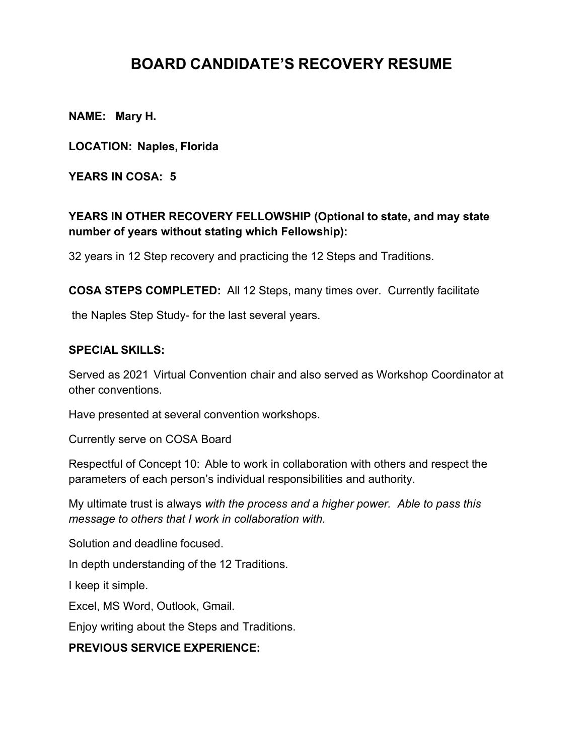## **BOARD CANDIDATE'S RECOVERY RESUME**

**NAME: Mary H.**

**LOCATION: Naples, Florida** 

**YEARS IN COSA: 5**

## **YEARS IN OTHER RECOVERY FELLOWSHIP (Optional to state, and may state number of years without stating which Fellowship):**

32 years in 12 Step recovery and practicing the 12 Steps and Traditions.

**COSA STEPS COMPLETED:** All 12 Steps, many times over. Currently facilitate

the Naples Step Study- for the last several years.

## **SPECIAL SKILLS:**

Served as 2021 Virtual Convention chair and also served as Workshop Coordinator at other conventions.

Have presented at several convention workshops.

Currently serve on COSA Board

Respectful of Concept 10: Able to work in collaboration with others and respect the parameters of each person's individual responsibilities and authority.

My ultimate trust is always *with the process and a higher power. Able to pass this message to others that I work in collaboration with.*

Solution and deadline focused.

In depth understanding of the 12 Traditions.

I keep it simple.

Excel, MS Word, Outlook, Gmail.

Enjoy writing about the Steps and Traditions.

## **PREVIOUS SERVICE EXPERIENCE:**